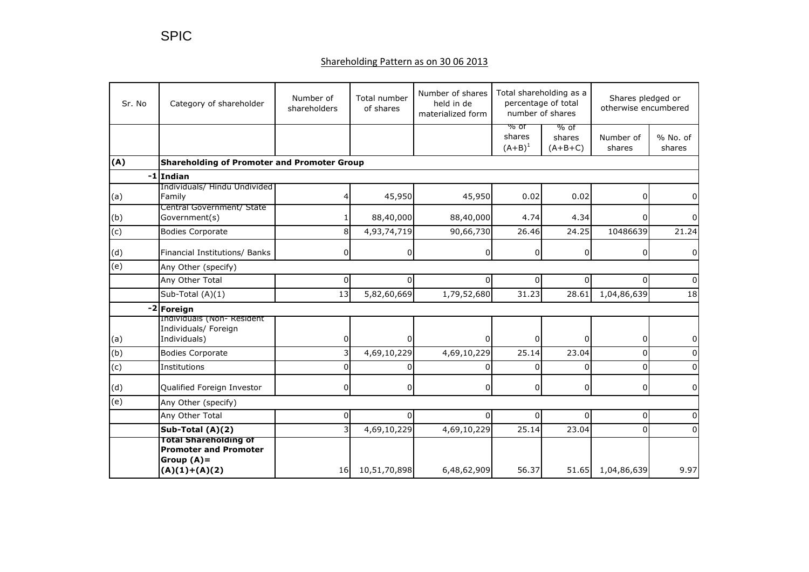## Shareholding Pattern as on 30 06 2013

| Sr. No         | Category of shareholder                                                                          | Number of<br>Total number<br>shareholders<br>of shares |              | Number of shares<br>held in de<br>materialized form | Total shareholding as a<br>percentage of total<br>number of shares |                             | Shares pledged or<br>otherwise encumbered |                      |  |
|----------------|--------------------------------------------------------------------------------------------------|--------------------------------------------------------|--------------|-----------------------------------------------------|--------------------------------------------------------------------|-----------------------------|-------------------------------------------|----------------------|--|
|                |                                                                                                  |                                                        |              |                                                     | % ot<br>shares<br>$(A + B)^1$                                      | % of<br>shares<br>$(A+B+C)$ | Number of<br>shares                       | $%$ No. of<br>shares |  |
| (A)            | <b>Shareholding of Promoter and Promoter Group</b>                                               |                                                        |              |                                                     |                                                                    |                             |                                           |                      |  |
|                | $-1$ Indian                                                                                      |                                                        |              |                                                     |                                                                    |                             |                                           |                      |  |
| (a)            | Individuals/ Hindu Undivided<br>Family                                                           | 4                                                      | 45,950       | 45,950                                              | 0.02                                                               | 0.02                        | 0                                         |                      |  |
| (b)            | Central Government/ State<br>Government(s)                                                       |                                                        | 88,40,000    | 88,40,000                                           | 4.74                                                               | 4.34                        |                                           |                      |  |
| $\overline{c}$ | <b>Bodies Corporate</b>                                                                          | 8                                                      | 4,93,74,719  | 90,66,730                                           | 26.46                                                              | 24.25                       | 10486639                                  | 21.24                |  |
| (d)            | Financial Institutions/ Banks                                                                    | 0                                                      | 0            | $\Omega$                                            | $\overline{0}$                                                     | $\overline{0}$              | 0                                         | 0                    |  |
| $\overline{e}$ | Any Other (specify)                                                                              |                                                        |              |                                                     |                                                                    |                             |                                           |                      |  |
|                | Any Other Total                                                                                  | 0                                                      | 0            | $\Omega$                                            | 0                                                                  | $\Omega$                    | $\Omega$                                  | $\Omega$             |  |
|                | Sub-Total (A)(1)                                                                                 | 13                                                     | 5,82,60,669  | 1,79,52,680                                         | 31.23                                                              | 28.61                       | 1,04,86,639                               | 18                   |  |
|                | -2 Foreign                                                                                       |                                                        |              |                                                     |                                                                    |                             |                                           |                      |  |
| (a)            | Individuals (Non- Resident<br>Individuals/ Foreign<br>Individuals)                               | 0                                                      | 0            | n                                                   | 0                                                                  | 0                           | 0                                         | 0                    |  |
| (b)            | <b>Bodies Corporate</b>                                                                          | 3                                                      | 4,69,10,229  | 4,69,10,229                                         | 25.14                                                              | 23.04                       | $\Omega$                                  |                      |  |
| (c)            | Institutions                                                                                     | 0                                                      |              | U                                                   | $\Omega$                                                           | $\Omega$                    | $\Omega$                                  |                      |  |
| (d)            | Qualified Foreign Investor                                                                       | 0                                                      | 0            | $\Omega$                                            | 0                                                                  | $\overline{0}$              | 0                                         | 0                    |  |
| (e)            | Any Other (specify)                                                                              |                                                        |              |                                                     |                                                                    |                             |                                           |                      |  |
|                | Any Other Total                                                                                  | 0                                                      | 0            | $\Omega$                                            | $\Omega$                                                           | $\Omega$                    | $\Omega$                                  |                      |  |
|                | Sub-Total (A)(2)                                                                                 | 3                                                      | 4,69,10,229  | 4,69,10,229                                         | 25.14                                                              | 23.04                       | $\Omega$                                  | <sup>0</sup>         |  |
|                | <b>Total Shareholding of</b><br><b>Promoter and Promoter</b><br>Group $(A)$ =<br>$(A)(1)+(A)(2)$ | 16                                                     | 10,51,70,898 | 6,48,62,909                                         | 56.37                                                              | 51.65                       | 1,04,86,639                               | 9.97                 |  |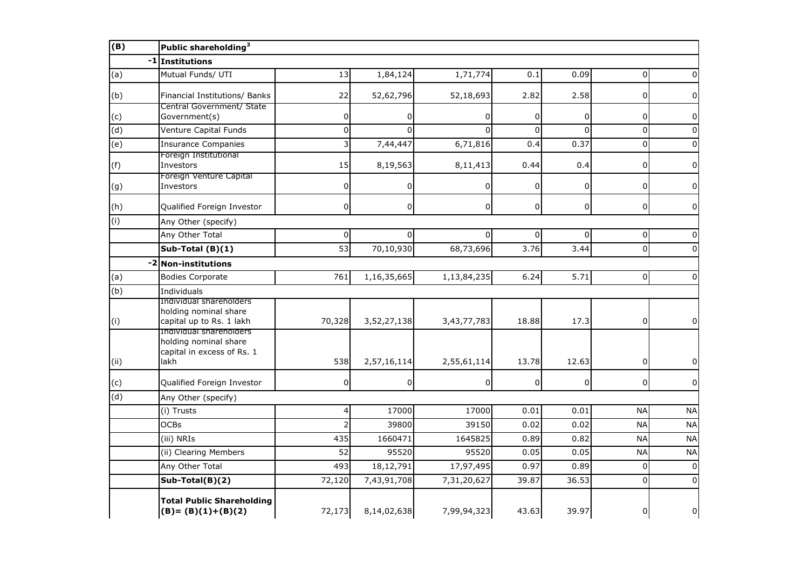| (B)                       | Public shareholding <sup>3</sup>                                                       |        |                |                |                |             |                |                |  |
|---------------------------|----------------------------------------------------------------------------------------|--------|----------------|----------------|----------------|-------------|----------------|----------------|--|
|                           | -1 Institutions                                                                        |        |                |                |                |             |                |                |  |
| (a)                       | Mutual Funds/ UTI                                                                      | 13     | 1,84,124       | 1,71,774       | 0.1            | 0.09        | $\Omega$       | 0              |  |
| (b)                       | Financial Institutions/ Banks                                                          | 22     | 52,62,796      | 52,18,693      | 2.82           | 2.58        | 0              | $\Omega$       |  |
| (c)                       | Central Government/ State<br>Government(s)                                             | 0      |                |                | 0              | $\Omega$    | 0              | 0              |  |
| (d)                       | Venture Capital Funds                                                                  | 0      | $\Omega$       | $\Omega$       | $\overline{0}$ | $\Omega$    | 0              | $\Omega$       |  |
| $\overline{e}$            | <b>Insurance Companies</b>                                                             | 3      | 7,44,447       | 6,71,816       | 0.4            | 0.37        | $\pmb{0}$      | $\Omega$       |  |
| (f)                       | Foreign Institutional<br>Investors                                                     | 15     | 8,19,563       | 8,11,413       | 0.44           | 0.4         | $\mathbf{0}$   | $\Omega$       |  |
| (g)                       | Foreign Venture Capital<br>Investors                                                   | 0      | $\overline{0}$ | $\Omega$       | 0              | $\mathbf 0$ | 0              | $\Omega$       |  |
| (h)                       | Qualified Foreign Investor                                                             | 0      | $\mathbf 0$    | $\overline{0}$ | 0              | $\mathbf 0$ | 0              | $\overline{0}$ |  |
| (i)                       | Any Other (specify)                                                                    |        |                |                |                |             |                |                |  |
|                           | Any Other Total                                                                        | 0      | $\overline{0}$ | $\Omega$       | 0              | 0           | $\overline{0}$ | $\Omega$       |  |
|                           | Sub-Total $(B)(1)$                                                                     | 53     | 70,10,930      | 68,73,696      | 3.76           | 3.44        | $\overline{0}$ | $\Omega$       |  |
| $-2$                      | <b>Non-institutions</b>                                                                |        |                |                |                |             |                |                |  |
| (a)                       | <b>Bodies Corporate</b>                                                                | 761    | 1,16,35,665    | 1,13,84,235    | 6.24           | 5.71        | $\Omega$       | $\Omega$       |  |
| $\overline{(\mathsf{b})}$ | Individuals                                                                            |        |                |                |                |             |                |                |  |
| (i)                       | Individual shareholders<br>holding nominal share<br>capital up to Rs. 1 lakh           | 70,328 | 3,52,27,138    | 3,43,77,783    | 18.88          | 17.3        | 0              | $\overline{0}$ |  |
| (ii)                      | Individual shareholders<br>holding nominal share<br>capital in excess of Rs. 1<br>lakh | 538    | 2,57,16,114    | 2,55,61,114    | 13.78          | 12.63       | 0              | $\overline{0}$ |  |
| (c)                       | Qualified Foreign Investor                                                             | 0      | $\overline{0}$ | 0              | 0              | 0           | 0              | $\Omega$       |  |
| $\overline{d}$            | Any Other (specify)                                                                    |        |                |                |                |             |                |                |  |
|                           | (i) Trusts                                                                             | 4      | 17000          | 17000          | 0.01           | 0.01        | <b>NA</b>      | <b>NA</b>      |  |
|                           | <b>OCBs</b>                                                                            | 2      | 39800          | 39150          | 0.02           | 0.02        | <b>NA</b>      | <b>NA</b>      |  |
|                           | (iii) NRIs                                                                             | 435    | 1660471        | 1645825        | 0.89           | 0.82        | <b>NA</b>      | <b>NA</b>      |  |
|                           | (ii) Clearing Members                                                                  | 52     | 95520          | 95520          | 0.05           | 0.05        | <b>NA</b>      | <b>NA</b>      |  |
|                           | Any Other Total                                                                        | 493    | 18,12,791      | 17,97,495      | 0.97           | 0.89        | $\Omega$       | $\Omega$       |  |
|                           | Sub-Total(B)(2)                                                                        | 72,120 | 7,43,91,708    | 7,31,20,627    | 39.87          | 36.53       | $\Omega$       | $\Omega$       |  |
|                           | <b>Total Public Shareholding</b><br>$(B)=(B)(1)+(B)(2)$                                | 72,173 | 8,14,02,638    | 7,99,94,323    | 43.63          | 39.97       | 0              | 0              |  |